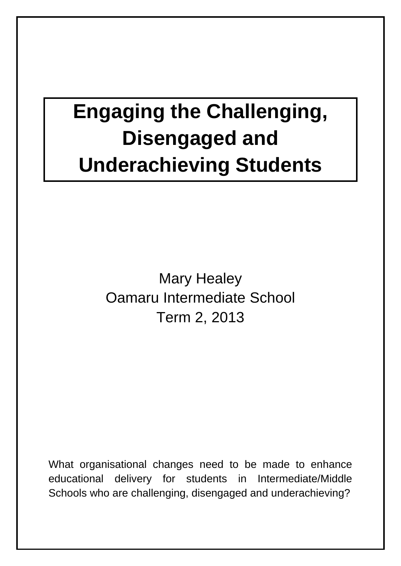# **Engaging the Challenging, Disengaged and Underachieving Students**

Mary Healey Oamaru Intermediate School Term 2, 2013

What organisational changes need to be made to enhance educational delivery for students in Intermediate/Middle Schools who are challenging, disengaged and underachieving?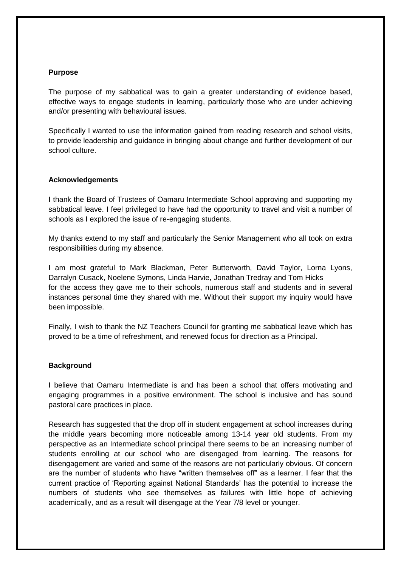## **Purpose**

The purpose of my sabbatical was to gain a greater understanding of evidence based, effective ways to engage students in learning, particularly those who are under achieving and/or presenting with behavioural issues.

Specifically I wanted to use the information gained from reading research and school visits, to provide leadership and guidance in bringing about change and further development of our school culture.

#### **Acknowledgements**

I thank the Board of Trustees of Oamaru Intermediate School approving and supporting my sabbatical leave. I feel privileged to have had the opportunity to travel and visit a number of schools as I explored the issue of re-engaging students.

My thanks extend to my staff and particularly the Senior Management who all took on extra responsibilities during my absence.

I am most grateful to Mark Blackman, Peter Butterworth, David Taylor, Lorna Lyons, Darralyn Cusack, Noelene Symons, Linda Harvie, Jonathan Tredray and Tom Hicks for the access they gave me to their schools, numerous staff and students and in several instances personal time they shared with me. Without their support my inquiry would have been impossible.

Finally, I wish to thank the NZ Teachers Council for granting me sabbatical leave which has proved to be a time of refreshment, and renewed focus for direction as a Principal.

#### **Background**

I believe that Oamaru Intermediate is and has been a school that offers motivating and engaging programmes in a positive environment. The school is inclusive and has sound pastoral care practices in place.

Research has suggested that the drop off in student engagement at school increases during the middle years becoming more noticeable among 13-14 year old students. From my perspective as an Intermediate school principal there seems to be an increasing number of students enrolling at our school who are disengaged from learning. The reasons for disengagement are varied and some of the reasons are not particularly obvious. Of concern are the number of students who have "written themselves off" as a learner. I fear that the current practice of 'Reporting against National Standards' has the potential to increase the numbers of students who see themselves as failures with little hope of achieving academically, and as a result will disengage at the Year 7/8 level or younger.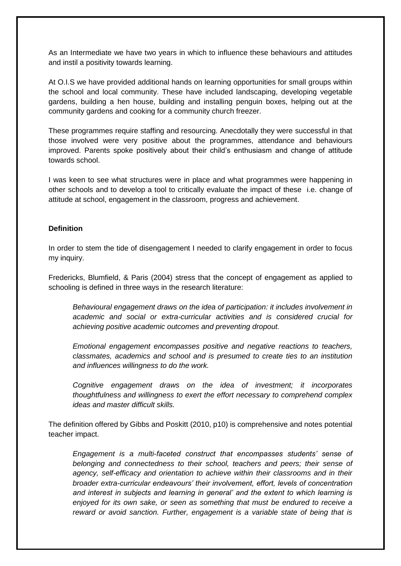As an Intermediate we have two years in which to influence these behaviours and attitudes and instil a positivity towards learning.

At O.I.S we have provided additional hands on learning opportunities for small groups within the school and local community. These have included landscaping, developing vegetable gardens, building a hen house, building and installing penguin boxes, helping out at the community gardens and cooking for a community church freezer.

These programmes require staffing and resourcing. Anecdotally they were successful in that those involved were very positive about the programmes, attendance and behaviours improved. Parents spoke positively about their child's enthusiasm and change of attitude towards school.

I was keen to see what structures were in place and what programmes were happening in other schools and to develop a tool to critically evaluate the impact of these i.e. change of attitude at school, engagement in the classroom, progress and achievement.

#### **Definition**

In order to stem the tide of disengagement I needed to clarify engagement in order to focus my inquiry.

Fredericks, Blumfield, & Paris (2004) stress that the concept of engagement as applied to schooling is defined in three ways in the research literature:

*Behavioural engagement draws on the idea of participation: it includes involvement in academic and social or extra-curricular activities and is considered crucial for achieving positive academic outcomes and preventing dropout.*

*Emotional engagement encompasses positive and negative reactions to teachers, classmates, academics and school and is presumed to create ties to an institution and influences willingness to do the work.*

*Cognitive engagement draws on the idea of investment; it incorporates thoughtfulness and willingness to exert the effort necessary to comprehend complex ideas and master difficult skills.*

The definition offered by Gibbs and Poskitt (2010, p10) is comprehensive and notes potential teacher impact.

*Engagement is a multi-faceted construct that encompasses students' sense of belonging and connectedness to their school, teachers and peers; their sense of agency, self-efficacy and orientation to achieve within their classrooms and in their broader extra-curricular endeavours' their involvement, effort, levels of concentration and interest in subjects and learning in general' and the extent to which learning is enjoyed for its own sake, or seen as something that must be endured to receive a reward or avoid sanction. Further, engagement is a variable state of being that is*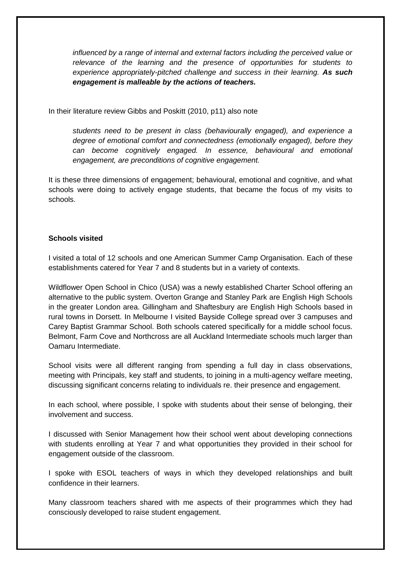*influenced by a range of internal and external factors including the perceived value or relevance of the learning and the presence of opportunities for students to experience appropriately-pitched challenge and success in their learning. As such engagement is malleable by the actions of teachers.*

In their literature review Gibbs and Poskitt (2010, p11) also note

*students need to be present in class (behaviourally engaged), and experience a degree of emotional comfort and connectedness (emotionally engaged), before they can become cognitively engaged. In essence, behavioural and emotional engagement, are preconditions of cognitive engagement.*

It is these three dimensions of engagement; behavioural, emotional and cognitive, and what schools were doing to actively engage students, that became the focus of my visits to schools.

#### **Schools visited**

I visited a total of 12 schools and one American Summer Camp Organisation. Each of these establishments catered for Year 7 and 8 students but in a variety of contexts.

Wildflower Open School in Chico (USA) was a newly established Charter School offering an alternative to the public system. Overton Grange and Stanley Park are English High Schools in the greater London area. Gillingham and Shaftesbury are English High Schools based in rural towns in Dorsett. In Melbourne I visited Bayside College spread over 3 campuses and Carey Baptist Grammar School. Both schools catered specifically for a middle school focus. Belmont, Farm Cove and Northcross are all Auckland Intermediate schools much larger than Oamaru Intermediate.

School visits were all different ranging from spending a full day in class observations, meeting with Principals, key staff and students, to joining in a multi-agency welfare meeting, discussing significant concerns relating to individuals re. their presence and engagement.

In each school, where possible, I spoke with students about their sense of belonging, their involvement and success.

I discussed with Senior Management how their school went about developing connections with students enrolling at Year 7 and what opportunities they provided in their school for engagement outside of the classroom.

I spoke with ESOL teachers of ways in which they developed relationships and built confidence in their learners.

Many classroom teachers shared with me aspects of their programmes which they had consciously developed to raise student engagement.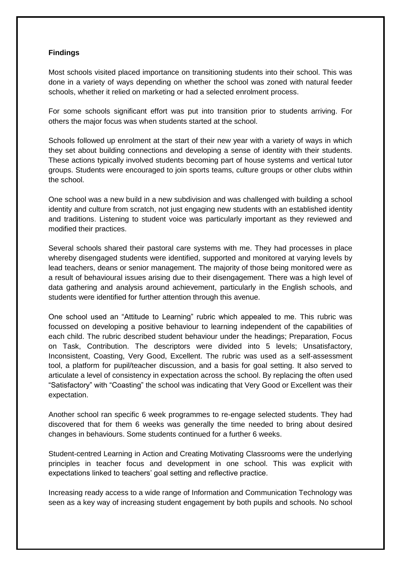## **Findings**

Most schools visited placed importance on transitioning students into their school. This was done in a variety of ways depending on whether the school was zoned with natural feeder schools, whether it relied on marketing or had a selected enrolment process.

For some schools significant effort was put into transition prior to students arriving. For others the major focus was when students started at the school.

Schools followed up enrolment at the start of their new year with a variety of ways in which they set about building connections and developing a sense of identity with their students. These actions typically involved students becoming part of house systems and vertical tutor groups. Students were encouraged to join sports teams, culture groups or other clubs within the school.

One school was a new build in a new subdivision and was challenged with building a school identity and culture from scratch, not just engaging new students with an established identity and traditions. Listening to student voice was particularly important as they reviewed and modified their practices.

Several schools shared their pastoral care systems with me. They had processes in place whereby disengaged students were identified, supported and monitored at varying levels by lead teachers, deans or senior management. The majority of those being monitored were as a result of behavioural issues arising due to their disengagement. There was a high level of data gathering and analysis around achievement, particularly in the English schools, and students were identified for further attention through this avenue.

One school used an "Attitude to Learning" rubric which appealed to me. This rubric was focussed on developing a positive behaviour to learning independent of the capabilities of each child. The rubric described student behaviour under the headings; Preparation, Focus on Task, Contribution. The descriptors were divided into 5 levels; Unsatisfactory, Inconsistent, Coasting, Very Good, Excellent. The rubric was used as a self-assessment tool, a platform for pupil/teacher discussion, and a basis for goal setting. It also served to articulate a level of consistency in expectation across the school. By replacing the often used "Satisfactory" with "Coasting" the school was indicating that Very Good or Excellent was their expectation.

Another school ran specific 6 week programmes to re-engage selected students. They had discovered that for them 6 weeks was generally the time needed to bring about desired changes in behaviours. Some students continued for a further 6 weeks.

Student-centred Learning in Action and Creating Motivating Classrooms were the underlying principles in teacher focus and development in one school. This was explicit with expectations linked to teachers' goal setting and reflective practice.

Increasing ready access to a wide range of Information and Communication Technology was seen as a key way of increasing student engagement by both pupils and schools. No school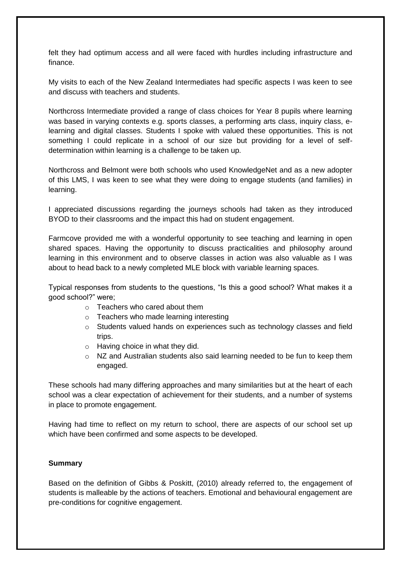felt they had optimum access and all were faced with hurdles including infrastructure and finance.

My visits to each of the New Zealand Intermediates had specific aspects I was keen to see and discuss with teachers and students.

Northcross Intermediate provided a range of class choices for Year 8 pupils where learning was based in varying contexts e.g. sports classes, a performing arts class, inquiry class, elearning and digital classes. Students I spoke with valued these opportunities. This is not something I could replicate in a school of our size but providing for a level of selfdetermination within learning is a challenge to be taken up.

Northcross and Belmont were both schools who used KnowledgeNet and as a new adopter of this LMS, I was keen to see what they were doing to engage students (and families) in learning.

I appreciated discussions regarding the journeys schools had taken as they introduced BYOD to their classrooms and the impact this had on student engagement.

Farmcove provided me with a wonderful opportunity to see teaching and learning in open shared spaces. Having the opportunity to discuss practicalities and philosophy around learning in this environment and to observe classes in action was also valuable as I was about to head back to a newly completed MLE block with variable learning spaces.

Typical responses from students to the questions, "Is this a good school? What makes it a good school?" were;

- $\circ$  Teachers who cared about them
- o Teachers who made learning interesting
- o Students valued hands on experiences such as technology classes and field trips.
- $\circ$  Having choice in what they did.
- o NZ and Australian students also said learning needed to be fun to keep them engaged.

These schools had many differing approaches and many similarities but at the heart of each school was a clear expectation of achievement for their students, and a number of systems in place to promote engagement.

Having had time to reflect on my return to school, there are aspects of our school set up which have been confirmed and some aspects to be developed.

## **Summary**

Based on the definition of Gibbs & Poskitt, (2010) already referred to, the engagement of students is malleable by the actions of teachers. Emotional and behavioural engagement are pre-conditions for cognitive engagement.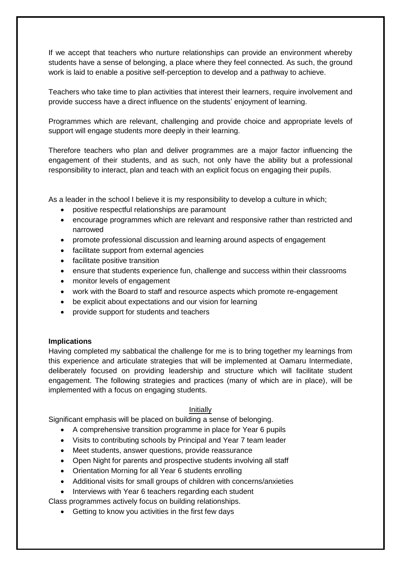If we accept that teachers who nurture relationships can provide an environment whereby students have a sense of belonging, a place where they feel connected. As such, the ground work is laid to enable a positive self-perception to develop and a pathway to achieve.

Teachers who take time to plan activities that interest their learners, require involvement and provide success have a direct influence on the students' enjoyment of learning.

Programmes which are relevant, challenging and provide choice and appropriate levels of support will engage students more deeply in their learning.

Therefore teachers who plan and deliver programmes are a major factor influencing the engagement of their students, and as such, not only have the ability but a professional responsibility to interact, plan and teach with an explicit focus on engaging their pupils.

As a leader in the school I believe it is my responsibility to develop a culture in which;

- positive respectful relationships are paramount
- encourage programmes which are relevant and responsive rather than restricted and narrowed
- promote professional discussion and learning around aspects of engagement
- facilitate support from external agencies
- facilitate positive transition
- ensure that students experience fun, challenge and success within their classrooms
- monitor levels of engagement
- work with the Board to staff and resource aspects which promote re-engagement
- be explicit about expectations and our vision for learning
- provide support for students and teachers

## **Implications**

Having completed my sabbatical the challenge for me is to bring together my learnings from this experience and articulate strategies that will be implemented at Oamaru Intermediate, deliberately focused on providing leadership and structure which will facilitate student engagement. The following strategies and practices (many of which are in place), will be implemented with a focus on engaging students.

## Initially

Significant emphasis will be placed on building a sense of belonging.

- A comprehensive transition programme in place for Year 6 pupils
- Visits to contributing schools by Principal and Year 7 team leader
- Meet students, answer questions, provide reassurance
- Open Night for parents and prospective students involving all staff
- Orientation Morning for all Year 6 students enrolling
- Additional visits for small groups of children with concerns/anxieties
- Interviews with Year 6 teachers regarding each student

Class programmes actively focus on building relationships.

Getting to know you activities in the first few days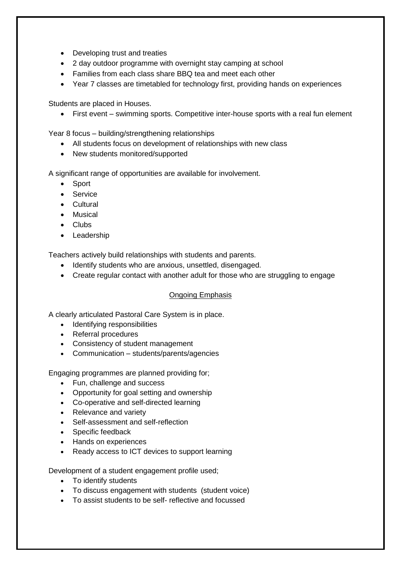- Developing trust and treaties
- 2 day outdoor programme with overnight stay camping at school
- Families from each class share BBQ tea and meet each other
- Year 7 classes are timetabled for technology first, providing hands on experiences

Students are placed in Houses.

First event – swimming sports. Competitive inter-house sports with a real fun element

Year 8 focus – building/strengthening relationships

- All students focus on development of relationships with new class
- New students monitored/supported

A significant range of opportunities are available for involvement.

- Sport
- Service
- Cultural
- Musical
- Clubs
- Leadership

Teachers actively build relationships with students and parents.

- Identify students who are anxious, unsettled, disengaged.
- Create regular contact with another adult for those who are struggling to engage

## Ongoing Emphasis

A clearly articulated Pastoral Care System is in place.

- Identifying responsibilities
- Referral procedures
- Consistency of student management
- Communication students/parents/agencies

Engaging programmes are planned providing for;

- Fun, challenge and success
- Opportunity for goal setting and ownership
- Co-operative and self-directed learning
- Relevance and variety
- Self-assessment and self-reflection
- Specific feedback
- Hands on experiences
- Ready access to ICT devices to support learning

Development of a student engagement profile used;

- To identify students
- To discuss engagement with students (student voice)
- To assist students to be self- reflective and focussed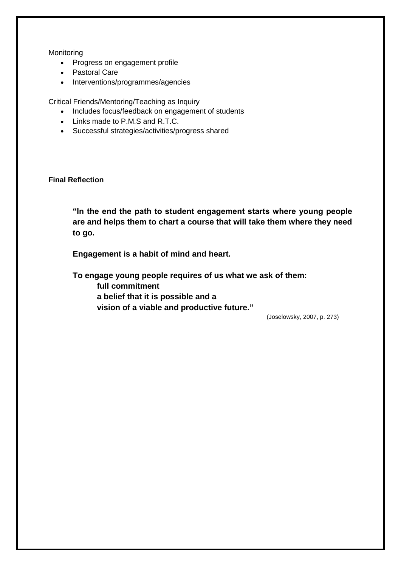Monitoring

- Progress on engagement profile
- Pastoral Care
- Interventions/programmes/agencies

Critical Friends/Mentoring/Teaching as Inquiry

- Includes focus/feedback on engagement of students
- Links made to P.M.S and R.T.C.
- Successful strategies/activities/progress shared

# **Final Reflection**

**"In the end the path to student engagement starts where young people are and helps them to chart a course that will take them where they need to go.**

**Engagement is a habit of mind and heart.** 

**To engage young people requires of us what we ask of them:**

**full commitment**

**a belief that it is possible and a** 

**vision of a viable and productive future."**

(Joselowsky, 2007, p. 273)